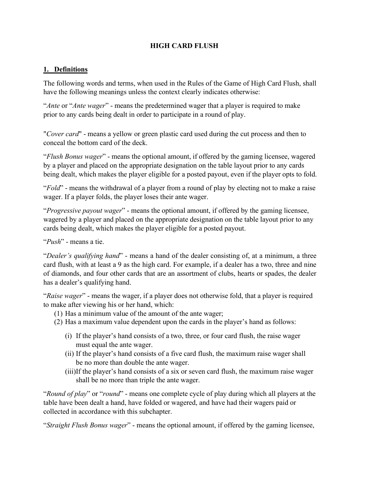# **HIGH CARD FLUSH**

#### **1. Definitions**

The following words and terms, when used in the Rules of the Game of High Card Flush, shall have the following meanings unless the context clearly indicates otherwise:

"*Ante* or "*Ante wager*" - means the predetermined wager that a player is required to make prior to any cards being dealt in order to participate in a round of play.

"*Cover card*" - means a yellow or green plastic card used during the cut process and then to conceal the bottom card of the deck.

"*Flush Bonus wager*" - means the optional amount, if offered by the gaming licensee, wagered by a player and placed on the appropriate designation on the table layout prior to any cards being dealt, which makes the player eligible for a posted payout, even if the player opts to fold.

"*Fold*" - means the withdrawal of a player from a round of play by electing not to make a raise wager. If a player folds, the player loses their ante wager.

"*Progressive payout wager*" - means the optional amount, if offered by the gaming licensee, wagered by a player and placed on the appropriate designation on the table layout prior to any cards being dealt, which makes the player eligible for a posted payout.

"*Push*" - means a tie.

"*Dealer's qualifying hand*" - means a hand of the dealer consisting of, at a minimum, a three card flush, with at least a 9 as the high card. For example, if a dealer has a two, three and nine of diamonds, and four other cards that are an assortment of clubs, hearts or spades, the dealer has a dealer's qualifying hand.

"*Raise wager*" - means the wager, if a player does not otherwise fold, that a player is required to make after viewing his or her hand, which:

- (1) Has a minimum value of the amount of the ante wager;
- (2) Has a maximum value dependent upon the cards in the player's hand as follows:
	- (i) If the player's hand consists of a two, three, or four card flush, the raise wager must equal the ante wager.
	- (ii) If the player's hand consists of a five card flush, the maximum raise wager shall be no more than double the ante wager.
	- (iii)If the player's hand consists of a six or seven card flush, the maximum raise wager shall be no more than triple the ante wager.

"*Round of play*" or "*round*" - means one complete cycle of play during which all players at the table have been dealt a hand, have folded or wagered, and have had their wagers paid or collected in accordance with this subchapter.

"*Straight Flush Bonus wager*" - means the optional amount, if offered by the gaming licensee,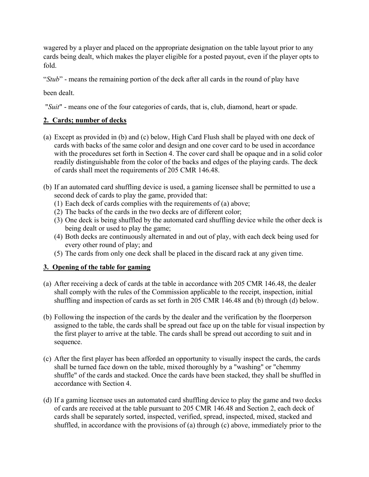wagered by a player and placed on the appropriate designation on the table layout prior to any cards being dealt, which makes the player eligible for a posted payout, even if the player opts to fold.

"*Stub*" - means the remaining portion of the deck after all cards in the round of play have

been dealt.

"*Suit*" - means one of the four categories of cards, that is, club, diamond, heart or spade.

# **2. Cards; number of decks**

- (a) Except as provided in (b) and (c) below, High Card Flush shall be played with one deck of cards with backs of the same color and design and one cover card to be used in accordance with the procedures set forth in Section 4. The cover card shall be opaque and in a solid color readily distinguishable from the color of the backs and edges of the playing cards. The deck of cards shall meet the requirements of 205 CMR 146.48.
- (b) If an automated card shuffling device is used, a gaming licensee shall be permitted to use a second deck of cards to play the game, provided that:
	- (1) Each deck of cards complies with the requirements of (a) above;
	- (2) The backs of the cards in the two decks are of different color;
	- (3) One deck is being shuffled by the automated card shuffling device while the other deck is being dealt or used to play the game;
	- (4) Both decks are continuously alternated in and out of play, with each deck being used for every other round of play; and
	- (5) The cards from only one deck shall be placed in the discard rack at any given time.

# **3. Opening of the table for gaming**

- (a) After receiving a deck of cards at the table in accordance with 205 CMR 146.48, the dealer shall comply with the rules of the Commission applicable to the receipt, inspection, initial shuffling and inspection of cards as set forth in 205 CMR 146.48 and (b) through (d) below.
- (b) Following the inspection of the cards by the dealer and the verification by the floorperson assigned to the table, the cards shall be spread out face up on the table for visual inspection by the first player to arrive at the table. The cards shall be spread out according to suit and in sequence.
- (c) After the first player has been afforded an opportunity to visually inspect the cards, the cards shall be turned face down on the table, mixed thoroughly by a "washing" or "chemmy shuffle" of the cards and stacked. Once the cards have been stacked, they shall be shuffled in accordance with Section 4.
- (d) If a gaming licensee uses an automated card shuffling device to play the game and two decks of cards are received at the table pursuant to 205 CMR 146.48 and Section 2, each deck of cards shall be separately sorted, inspected, verified, spread, inspected, mixed, stacked and shuffled, in accordance with the provisions of (a) through (c) above, immediately prior to the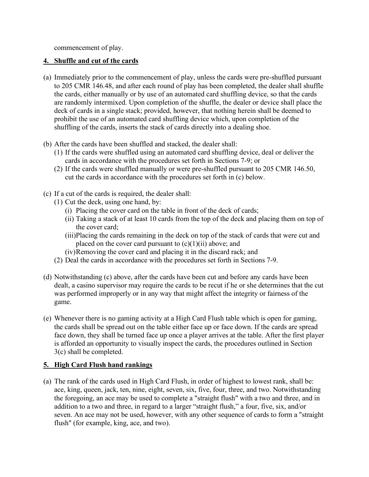commencement of play.

#### **4. Shuffle and cut of the cards**

- (a) Immediately prior to the commencement of play, unless the cards were pre-shuffled pursuant to 205 CMR 146.48, and after each round of play has been completed, the dealer shall shuffle the cards, either manually or by use of an automated card shuffling device, so that the cards are randomly intermixed. Upon completion of the shuffle, the dealer or device shall place the deck of cards in a single stack; provided, however, that nothing herein shall be deemed to prohibit the use of an automated card shuffling device which, upon completion of the shuffling of the cards, inserts the stack of cards directly into a dealing shoe.
- (b) After the cards have been shuffled and stacked, the dealer shall:
	- (1) If the cards were shuffled using an automated card shuffling device, deal or deliver the cards in accordance with the procedures set forth in Sections 7-9; or
	- (2) If the cards were shuffled manually or were pre-shuffled pursuant to 205 CMR 146.50, cut the cards in accordance with the procedures set forth in (c) below.
- (c) If a cut of the cards is required, the dealer shall:
	- (1) Cut the deck, using one hand, by:
		- (i) Placing the cover card on the table in front of the deck of cards;
		- (ii) Taking a stack of at least 10 cards from the top of the deck and placing them on top of the cover card;
		- (iii)Placing the cards remaining in the deck on top of the stack of cards that were cut and placed on the cover card pursuant to  $(c)(1)(ii)$  above; and
		- (iv)Removing the cover card and placing it in the discard rack; and
	- (2) Deal the cards in accordance with the procedures set forth in Sections 7-9.
- (d) Notwithstanding (c) above, after the cards have been cut and before any cards have been dealt, a casino supervisor may require the cards to be recut if he or she determines that the cut was performed improperly or in any way that might affect the integrity or fairness of the game.
- (e) Whenever there is no gaming activity at a High Card Flush table which is open for gaming, the cards shall be spread out on the table either face up or face down. If the cards are spread face down, they shall be turned face up once a player arrives at the table. After the first player is afforded an opportunity to visually inspect the cards, the procedures outlined in Section 3(c) shall be completed.

## **5. High Card Flush hand rankings**

(a) The rank of the cards used in High Card Flush, in order of highest to lowest rank, shall be: ace, king, queen, jack, ten, nine, eight, seven, six, five, four, three, and two. Notwithstanding the foregoing, an ace may be used to complete a "straight flush" with a two and three, and in addition to a two and three, in regard to a larger "straight flush," a four, five, six, and/or seven. An ace may not be used, however, with any other sequence of cards to form a "straight flush" (for example, king, ace, and two).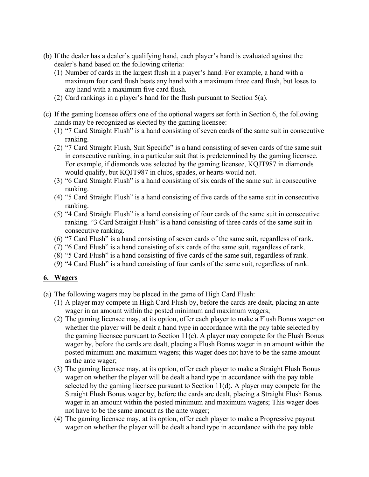- (b) If the dealer has a dealer's qualifying hand, each player's hand is evaluated against the dealer's hand based on the following criteria:
	- (1) Number of cards in the largest flush in a player's hand. For example, a hand with a maximum four card flush beats any hand with a maximum three card flush, but loses to any hand with a maximum five card flush.
	- (2) Card rankings in a player's hand for the flush pursuant to Section 5(a).
- (c) If the gaming licensee offers one of the optional wagers set forth in Section 6, the following hands may be recognized as elected by the gaming licensee:
	- (1) "7 Card Straight Flush" is a hand consisting of seven cards of the same suit in consecutive ranking.
	- (2) "7 Card Straight Flush, Suit Specific" is a hand consisting of seven cards of the same suit in consecutive ranking, in a particular suit that is predetermined by the gaming licensee. For example, if diamonds was selected by the gaming licensee, KQJT987 in diamonds would qualify, but KQJT987 in clubs, spades, or hearts would not.
	- (3) "6 Card Straight Flush" is a hand consisting of six cards of the same suit in consecutive ranking.
	- (4) "5 Card Straight Flush" is a hand consisting of five cards of the same suit in consecutive ranking.
	- (5) "4 Card Straight Flush" is a hand consisting of four cards of the same suit in consecutive ranking. "3 Card Straight Flush" is a hand consisting of three cards of the same suit in consecutive ranking.
	- (6) "7 Card Flush" is a hand consisting of seven cards of the same suit, regardless of rank.
	- (7) "6 Card Flush" is a hand consisting of six cards of the same suit, regardless of rank.
	- (8) "5 Card Flush" is a hand consisting of five cards of the same suit, regardless of rank.
	- (9) "4 Card Flush" is a hand consisting of four cards of the same suit, regardless of rank.

## **6. Wagers**

- (a) The following wagers may be placed in the game of High Card Flush:
	- (1) A player may compete in High Card Flush by, before the cards are dealt, placing an ante wager in an amount within the posted minimum and maximum wagers;
	- (2) The gaming licensee may, at its option, offer each player to make a Flush Bonus wager on whether the player will be dealt a hand type in accordance with the pay table selected by the gaming licensee pursuant to Section 11(c). A player may compete for the Flush Bonus wager by, before the cards are dealt, placing a Flush Bonus wager in an amount within the posted minimum and maximum wagers; this wager does not have to be the same amount as the ante wager;
	- (3) The gaming licensee may, at its option, offer each player to make a Straight Flush Bonus wager on whether the player will be dealt a hand type in accordance with the pay table selected by the gaming licensee pursuant to Section 11(d). A player may compete for the Straight Flush Bonus wager by, before the cards are dealt, placing a Straight Flush Bonus wager in an amount within the posted minimum and maximum wagers; This wager does not have to be the same amount as the ante wager;
	- (4) The gaming licensee may, at its option, offer each player to make a Progressive payout wager on whether the player will be dealt a hand type in accordance with the pay table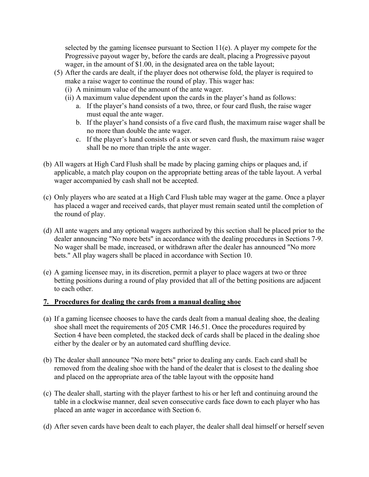selected by the gaming licensee pursuant to Section  $11(e)$ . A player my compete for the Progressive payout wager by, before the cards are dealt, placing a Progressive payout wager, in the amount of \$1.00, in the designated area on the table layout;

- (5) After the cards are dealt, if the player does not otherwise fold, the player is required to make a raise wager to continue the round of play. This wager has:
	- (i) A minimum value of the amount of the ante wager.
	- (ii) A maximum value dependent upon the cards in the player's hand as follows:
		- a. If the player's hand consists of a two, three, or four card flush, the raise wager must equal the ante wager.
		- b. If the player's hand consists of a five card flush, the maximum raise wager shall be no more than double the ante wager.
		- c. If the player's hand consists of a six or seven card flush, the maximum raise wager shall be no more than triple the ante wager.
- (b) All wagers at High Card Flush shall be made by placing gaming chips or plaques and, if applicable, a match play coupon on the appropriate betting areas of the table layout. A verbal wager accompanied by cash shall not be accepted.
- (c) Only players who are seated at a High Card Flush table may wager at the game. Once a player has placed a wager and received cards, that player must remain seated until the completion of the round of play.
- (d) All ante wagers and any optional wagers authorized by this section shall be placed prior to the dealer announcing "No more bets" in accordance with the dealing procedures in Sections 7-9. No wager shall be made, increased, or withdrawn after the dealer has announced "No more bets." All play wagers shall be placed in accordance with Section 10.
- (e) A gaming licensee may, in its discretion, permit a player to place wagers at two or three betting positions during a round of play provided that all of the betting positions are adjacent to each other.

#### **7. Procedures for dealing the cards from a manual dealing shoe**

- (a) If a gaming licensee chooses to have the cards dealt from a manual dealing shoe, the dealing shoe shall meet the requirements of 205 CMR 146.51. Once the procedures required by Section 4 have been completed, the stacked deck of cards shall be placed in the dealing shoe either by the dealer or by an automated card shuffling device.
- (b) The dealer shall announce "No more bets" prior to dealing any cards. Each card shall be removed from the dealing shoe with the hand of the dealer that is closest to the dealing shoe and placed on the appropriate area of the table layout with the opposite hand
- (c) The dealer shall, starting with the player farthest to his or her left and continuing around the table in a clockwise manner, deal seven consecutive cards face down to each player who has placed an ante wager in accordance with Section 6.
- (d) After seven cards have been dealt to each player, the dealer shall deal himself or herself seven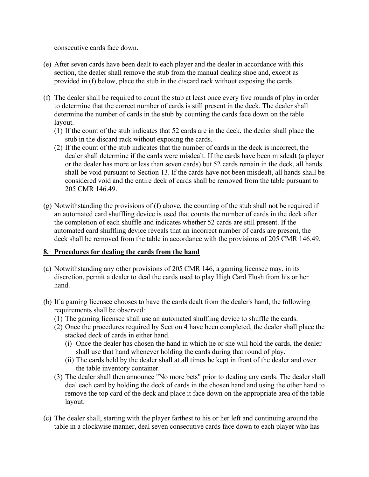consecutive cards face down.

- (e) After seven cards have been dealt to each player and the dealer in accordance with this section, the dealer shall remove the stub from the manual dealing shoe and, except as provided in (f) below, place the stub in the discard rack without exposing the cards.
- (f) The dealer shall be required to count the stub at least once every five rounds of play in order to determine that the correct number of cards is still present in the deck. The dealer shall determine the number of cards in the stub by counting the cards face down on the table layout.
	- (1) If the count of the stub indicates that 52 cards are in the deck, the dealer shall place the stub in the discard rack without exposing the cards.
	- (2) If the count of the stub indicates that the number of cards in the deck is incorrect, the dealer shall determine if the cards were misdealt. If the cards have been misdealt (a player or the dealer has more or less than seven cards) but 52 cards remain in the deck, all hands shall be void pursuant to Section 13. If the cards have not been misdealt, all hands shall be considered void and the entire deck of cards shall be removed from the table pursuant to 205 CMR 146.49.
- (g) Notwithstanding the provisions of (f) above, the counting of the stub shall not be required if an automated card shuffling device is used that counts the number of cards in the deck after the completion of each shuffle and indicates whether 52 cards are still present. If the automated card shuffling device reveals that an incorrect number of cards are present, the deck shall be removed from the table in accordance with the provisions of 205 CMR 146.49.

## **8. Procedures for dealing the cards from the hand**

- (a) Notwithstanding any other provisions of 205 CMR 146, a gaming licensee may, in its discretion, permit a dealer to deal the cards used to play High Card Flush from his or her hand.
- (b) If a gaming licensee chooses to have the cards dealt from the dealer's hand, the following requirements shall be observed:
	- (1) The gaming licensee shall use an automated shuffling device to shuffle the cards.
	- (2) Once the procedures required by Section 4 have been completed, the dealer shall place the stacked deck of cards in either hand.
		- (i) Once the dealer has chosen the hand in which he or she will hold the cards, the dealer shall use that hand whenever holding the cards during that round of play.
		- (ii) The cards held by the dealer shall at all times be kept in front of the dealer and over the table inventory container.
	- (3) The dealer shall then announce "No more bets" prior to dealing any cards. The dealer shall deal each card by holding the deck of cards in the chosen hand and using the other hand to remove the top card of the deck and place it face down on the appropriate area of the table layout.
- (c) The dealer shall, starting with the player farthest to his or her left and continuing around the table in a clockwise manner, deal seven consecutive cards face down to each player who has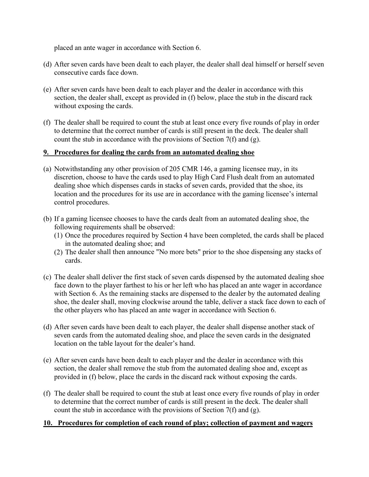placed an ante wager in accordance with Section 6.

- (d) After seven cards have been dealt to each player, the dealer shall deal himself or herself seven consecutive cards face down.
- (e) After seven cards have been dealt to each player and the dealer in accordance with this section, the dealer shall, except as provided in (f) below, place the stub in the discard rack without exposing the cards.
- (f) The dealer shall be required to count the stub at least once every five rounds of play in order to determine that the correct number of cards is still present in the deck. The dealer shall count the stub in accordance with the provisions of Section  $7(f)$  and  $(g)$ .

## **9. Procedures for dealing the cards from an automated dealing shoe**

- (a) Notwithstanding any other provision of 205 CMR 146, a gaming licensee may, in its discretion, choose to have the cards used to play High Card Flush dealt from an automated dealing shoe which dispenses cards in stacks of seven cards, provided that the shoe, its location and the procedures for its use are in accordance with the gaming licensee's internal control procedures.
- (b) If a gaming licensee chooses to have the cards dealt from an automated dealing shoe, the following requirements shall be observed:
	- (1) Once the procedures required by Section 4 have been completed, the cards shall be placed in the automated dealing shoe; and
	- (2) The dealer shall then announce "No more bets" prior to the shoe dispensing any stacks of cards.
- (c) The dealer shall deliver the first stack of seven cards dispensed by the automated dealing shoe face down to the player farthest to his or her left who has placed an ante wager in accordance with Section 6. As the remaining stacks are dispensed to the dealer by the automated dealing shoe, the dealer shall, moving clockwise around the table, deliver a stack face down to each of the other players who has placed an ante wager in accordance with Section 6.
- (d) After seven cards have been dealt to each player, the dealer shall dispense another stack of seven cards from the automated dealing shoe, and place the seven cards in the designated location on the table layout for the dealer's hand.
- (e) After seven cards have been dealt to each player and the dealer in accordance with this section, the dealer shall remove the stub from the automated dealing shoe and, except as provided in (f) below, place the cards in the discard rack without exposing the cards.
- (f) The dealer shall be required to count the stub at least once every five rounds of play in order to determine that the correct number of cards is still present in the deck. The dealer shall count the stub in accordance with the provisions of Section 7(f) and (g).

## **10. Procedures for completion of each round of play; collection of payment and wagers**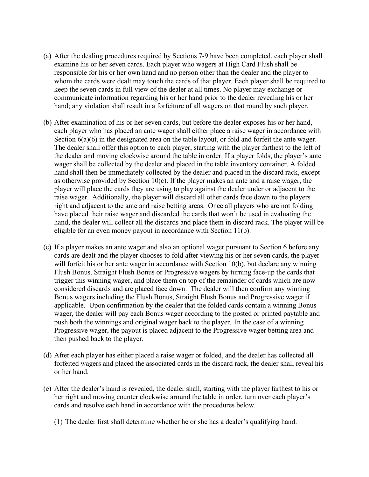- (a) After the dealing procedures required by Sections 7-9 have been completed, each player shall examine his or her seven cards. Each player who wagers at High Card Flush shall be responsible for his or her own hand and no person other than the dealer and the player to whom the cards were dealt may touch the cards of that player. Each player shall be required to keep the seven cards in full view of the dealer at all times. No player may exchange or communicate information regarding his or her hand prior to the dealer revealing his or her hand; any violation shall result in a forfeiture of all wagers on that round by such player.
- (b) After examination of his or her seven cards, but before the dealer exposes his or her hand, each player who has placed an ante wager shall either place a raise wager in accordance with Section  $6(a)(6)$  in the designated area on the table layout, or fold and forfeit the ante wager. The dealer shall offer this option to each player, starting with the player farthest to the left of the dealer and moving clockwise around the table in order. If a player folds, the player's ante wager shall be collected by the dealer and placed in the table inventory container. A folded hand shall then be immediately collected by the dealer and placed in the discard rack, except as otherwise provided by Section 10(c). If the player makes an ante and a raise wager, the player will place the cards they are using to play against the dealer under or adjacent to the raise wager. Additionally, the player will discard all other cards face down to the players right and adjacent to the ante and raise betting areas. Once all players who are not folding have placed their raise wager and discarded the cards that won't be used in evaluating the hand, the dealer will collect all the discards and place them in discard rack. The player will be eligible for an even money payout in accordance with Section 11(b).
- (c) If a player makes an ante wager and also an optional wager pursuant to Section 6 before any cards are dealt and the player chooses to fold after viewing his or her seven cards, the player will forfeit his or her ante wager in accordance with Section 10(b), but declare any winning Flush Bonus, Straight Flush Bonus or Progressive wagers by turning face-up the cards that trigger this winning wager, and place them on top of the remainder of cards which are now considered discards and are placed face down. The dealer will then confirm any winning Bonus wagers including the Flush Bonus, Straight Flush Bonus and Progressive wager if applicable. Upon confirmation by the dealer that the folded cards contain a winning Bonus wager, the dealer will pay each Bonus wager according to the posted or printed paytable and push both the winnings and original wager back to the player. In the case of a winning Progressive wager, the payout is placed adjacent to the Progressive wager betting area and then pushed back to the player.
- (d) After each player has either placed a raise wager or folded, and the dealer has collected all forfeited wagers and placed the associated cards in the discard rack, the dealer shall reveal his or her hand.
- (e) After the dealer's hand is revealed, the dealer shall, starting with the player farthest to his or her right and moving counter clockwise around the table in order, turn over each player's cards and resolve each hand in accordance with the procedures below.
	- (1) The dealer first shall determine whether he or she has a dealer's qualifying hand.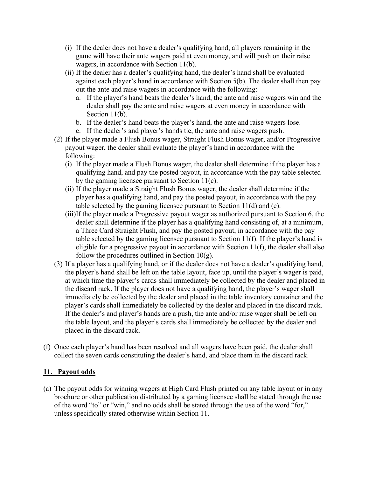- (i) If the dealer does not have a dealer's qualifying hand, all players remaining in the game will have their ante wagers paid at even money, and will push on their raise wagers, in accordance with Section 11(b).
- (ii) If the dealer has a dealer's qualifying hand, the dealer's hand shall be evaluated against each player's hand in accordance with Section 5(b). The dealer shall then pay out the ante and raise wagers in accordance with the following:
	- a. If the player's hand beats the dealer's hand, the ante and raise wagers win and the dealer shall pay the ante and raise wagers at even money in accordance with Section 11(b).
	- b. If the dealer's hand beats the player's hand, the ante and raise wagers lose.
	- c. If the dealer's and player's hands tie, the ante and raise wagers push.
- (2) If the player made a Flush Bonus wager, Straight Flush Bonus wager, and/or Progressive payout wager, the dealer shall evaluate the player's hand in accordance with the following:
	- (i) If the player made a Flush Bonus wager, the dealer shall determine if the player has a qualifying hand, and pay the posted payout, in accordance with the pay table selected by the gaming licensee pursuant to Section 11(c).
	- (ii) If the player made a Straight Flush Bonus wager, the dealer shall determine if the player has a qualifying hand, and pay the posted payout, in accordance with the pay table selected by the gaming licensee pursuant to Section 11(d) and (e).
	- (iii)If the player made a Progressive payout wager as authorized pursuant to Section 6, the dealer shall determine if the player has a qualifying hand consisting of, at a minimum, a Three Card Straight Flush, and pay the posted payout, in accordance with the pay table selected by the gaming licensee pursuant to Section 11(f). If the player's hand is eligible for a progressive payout in accordance with Section 11(f), the dealer shall also follow the procedures outlined in Section  $10<sub>(g)</sub>$ .
- (3) If a player has a qualifying hand, or if the dealer does not have a dealer's qualifying hand, the player's hand shall be left on the table layout, face up, until the player's wager is paid, at which time the player's cards shall immediately be collected by the dealer and placed in the discard rack. If the player does not have a qualifying hand, the player's wager shall immediately be collected by the dealer and placed in the table inventory container and the player's cards shall immediately be collected by the dealer and placed in the discard rack. If the dealer's and player's hands are a push, the ante and/or raise wager shall be left on the table layout, and the player's cards shall immediately be collected by the dealer and placed in the discard rack.
- (f) Once each player's hand has been resolved and all wagers have been paid, the dealer shall collect the seven cards constituting the dealer's hand, and place them in the discard rack.

## **11. Payout odds**

(a) The payout odds for winning wagers at High Card Flush printed on any table layout or in any brochure or other publication distributed by a gaming licensee shall be stated through the use of the word "to" or "win," and no odds shall be stated through the use of the word "for," unless specifically stated otherwise within Section 11.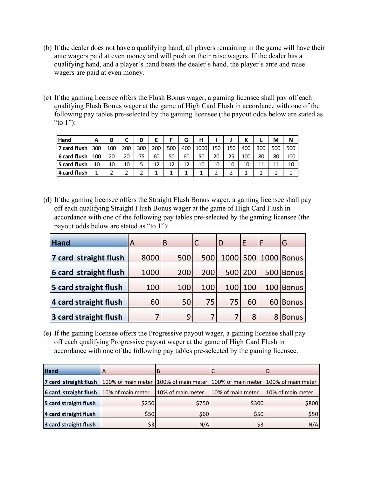- (b) If the dealer does not have a qualifying hand, all players remaining in the game will have their ante wagers paid at even money and will push on their raise wagers. If the dealer has a qualifying hand, and a player's hand beats the dealer's hand, the player's ante and raise wagers are paid at even money.
- (c) If the gaming licensee offers the Flush Bonus wager, a gaming licensee shall pay off each qualifying Flush Bonus wager at the game of High Card Flush in accordance with one of the following pay tables pre-selected by the gaming licensee (the payout odds below are stated as "to  $1"$ ):

| <b>Hand</b>  | А   | в   |     | D   |     |     | G   | н    |     |     | v<br>N |     | М   | Ν   |
|--------------|-----|-----|-----|-----|-----|-----|-----|------|-----|-----|--------|-----|-----|-----|
| 7 card flush | 300 | 100 | 200 | 300 | 200 | 500 | 400 | 1000 | 150 | 150 | 400    | 300 | 500 | 500 |
| 6 card flush | 100 | 20  | 20  | 75  | 60  | 50  | 60  | 50   | 20  | 25  | 100    | 80  | 80  | 100 |
| 5 card flush | 10  | 10  | 10  | 5   | 12  | 12  | 12  | 10   | 10  | 10  | 10     |     | 11  | 10  |
| 4 card flush |     |     |     | າ   |     |     |     |      |     |     |        |     |     |     |

(d) If the gaming licensee offers the Straight Flush Bonus wager, a gaming licensee shall pay off each qualifying Straight Flush Bonus wager at the game of High Card Flush in accordance with one of the following pay tables pre-selected by the gaming licensee (the payout odds below are stated as "to 1"):

| <b>Hand</b>           | ΙA   | B   |     | D   | E   | F             | G            |
|-----------------------|------|-----|-----|-----|-----|---------------|--------------|
| 7 card straight flush | 8000 | 500 | 500 |     |     | 1000 500 1000 | <b>Bonus</b> |
| 6 card straight flush | 1000 | 200 | 200 | 500 | 200 | 500           | <b>Bonus</b> |
| 5 card straight flush | 100  | 100 | 100 | 100 | 100 | 100           | <b>Bonus</b> |
| 4 card straight flush | 60   | 50  | 75  | 75  | 60  | 60            | <b>Bonus</b> |
| 3 card straight flush |      | 9   |     |     | 8   | 8             | <b>Bonus</b> |

(e) If the gaming licensee offers the Progressive payout wager, a gaming licensee shall pay off each qualifying Progressive payout wager at the game of High Card Flush in accordance with one of the following pay tables pre-selected by the gaming licensee.

| <b>Hand</b>                                                                                       | A     | в                 |                   |                   |
|---------------------------------------------------------------------------------------------------|-------|-------------------|-------------------|-------------------|
| 7 card straight flush 100% of main meter 100% of main meter 100% of main meter 100% of main meter |       |                   |                   |                   |
| 6 card straight flush $10%$ of main meter                                                         |       | 10% of main meter | 10% of main meter | 10% of main meter |
| 5 card straight flush                                                                             | \$250 | \$750             | \$300             | \$800             |
| 4 card straight flush                                                                             | \$50  | \$60              | \$50              | \$50              |
| 3 card straight flush                                                                             | \$3   | N/A               | \$3               | N/A               |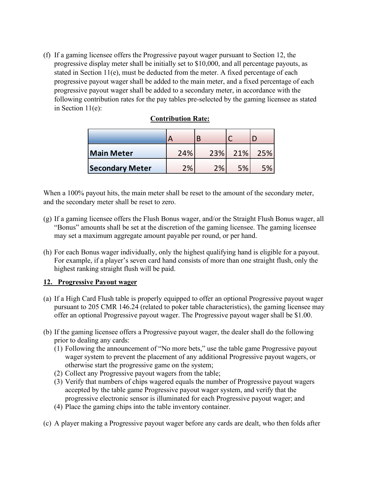(f) If a gaming licensee offers the Progressive payout wager pursuant to Section 12, the progressive display meter shall be initially set to \$10,000, and all percentage payouts, as stated in Section 11(e), must be deducted from the meter. A fixed percentage of each progressive payout wager shall be added to the main meter, and a fixed percentage of each progressive payout wager shall be added to a secondary meter, in accordance with the following contribution rates for the pay tables pre-selected by the gaming licensee as stated in Section 11(e):

|                        | −   |     |     |     |
|------------------------|-----|-----|-----|-----|
| <b>Main Meter</b>      | 24% | 23% | 21% | 25% |
| <b>Secondary Meter</b> | 2%  | 2%  | 5%  | 5%  |

## **Contribution Rate:**

When a 100% payout hits, the main meter shall be reset to the amount of the secondary meter, and the secondary meter shall be reset to zero.

- (g) If a gaming licensee offers the Flush Bonus wager, and/or the Straight Flush Bonus wager, all "Bonus" amounts shall be set at the discretion of the gaming licensee. The gaming licensee may set a maximum aggregate amount payable per round, or per hand.
- (h) For each Bonus wager individually, only the highest qualifying hand is eligible for a payout. For example, if a player's seven card hand consists of more than one straight flush, only the highest ranking straight flush will be paid.

## **12. Progressive Payout wager**

- (a) If a High Card Flush table is properly equipped to offer an optional Progressive payout wager pursuant to 205 CMR 146.24 (related to poker table characteristics), the gaming licensee may offer an optional Progressive payout wager. The Progressive payout wager shall be \$1.00.
- (b) If the gaming licensee offers a Progressive payout wager, the dealer shall do the following prior to dealing any cards:
	- (1) Following the announcement of "No more bets," use the table game Progressive payout wager system to prevent the placement of any additional Progressive payout wagers, or otherwise start the progressive game on the system;
	- (2) Collect any Progressive payout wagers from the table;
	- (3) Verify that numbers of chips wagered equals the number of Progressive payout wagers accepted by the table game Progressive payout wager system, and verify that the progressive electronic sensor is illuminated for each Progressive payout wager; and
	- (4) Place the gaming chips into the table inventory container.
- (c) A player making a Progressive payout wager before any cards are dealt, who then folds after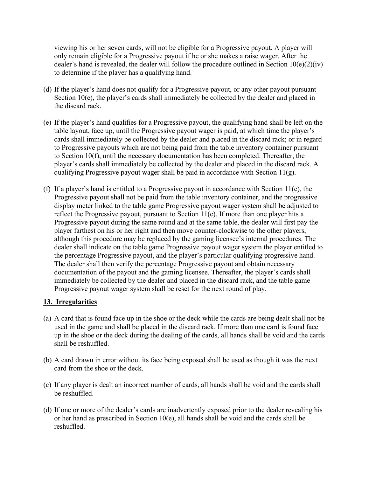viewing his or her seven cards, will not be eligible for a Progressive payout. A player will only remain eligible for a Progressive payout if he or she makes a raise wager. After the dealer's hand is revealed, the dealer will follow the procedure outlined in Section  $10(e)(2)(iv)$ to determine if the player has a qualifying hand.

- (d) If the player's hand does not qualify for a Progressive payout, or any other payout pursuant Section 10(e), the player's cards shall immediately be collected by the dealer and placed in the discard rack.
- (e) If the player's hand qualifies for a Progressive payout, the qualifying hand shall be left on the table layout, face up, until the Progressive payout wager is paid, at which time the player's cards shall immediately be collected by the dealer and placed in the discard rack; or in regard to Progressive payouts which are not being paid from the table inventory container pursuant to Section 10(f), until the necessary documentation has been completed. Thereafter, the player's cards shall immediately be collected by the dealer and placed in the discard rack. A qualifying Progressive payout wager shall be paid in accordance with Section  $11(g)$ .
- (f) If a player's hand is entitled to a Progressive payout in accordance with Section 11(e), the Progressive payout shall not be paid from the table inventory container, and the progressive display meter linked to the table game Progressive payout wager system shall be adjusted to reflect the Progressive payout, pursuant to Section 11(e). If more than one player hits a Progressive payout during the same round and at the same table, the dealer will first pay the player farthest on his or her right and then move counter-clockwise to the other players, although this procedure may be replaced by the gaming licensee's internal procedures. The dealer shall indicate on the table game Progressive payout wager system the player entitled to the percentage Progressive payout, and the player's particular qualifying progressive hand. The dealer shall then verify the percentage Progressive payout and obtain necessary documentation of the payout and the gaming licensee. Thereafter, the player's cards shall immediately be collected by the dealer and placed in the discard rack, and the table game Progressive payout wager system shall be reset for the next round of play.

## **13. Irregularities**

- (a) A card that is found face up in the shoe or the deck while the cards are being dealt shall not be used in the game and shall be placed in the discard rack. If more than one card is found face up in the shoe or the deck during the dealing of the cards, all hands shall be void and the cards shall be reshuffled.
- (b) A card drawn in error without its face being exposed shall be used as though it was the next card from the shoe or the deck.
- (c) If any player is dealt an incorrect number of cards, all hands shall be void and the cards shall be reshuffled.
- (d) If one or more of the dealer's cards are inadvertently exposed prior to the dealer revealing his or her hand as prescribed in Section 10(e), all hands shall be void and the cards shall be reshuffled.